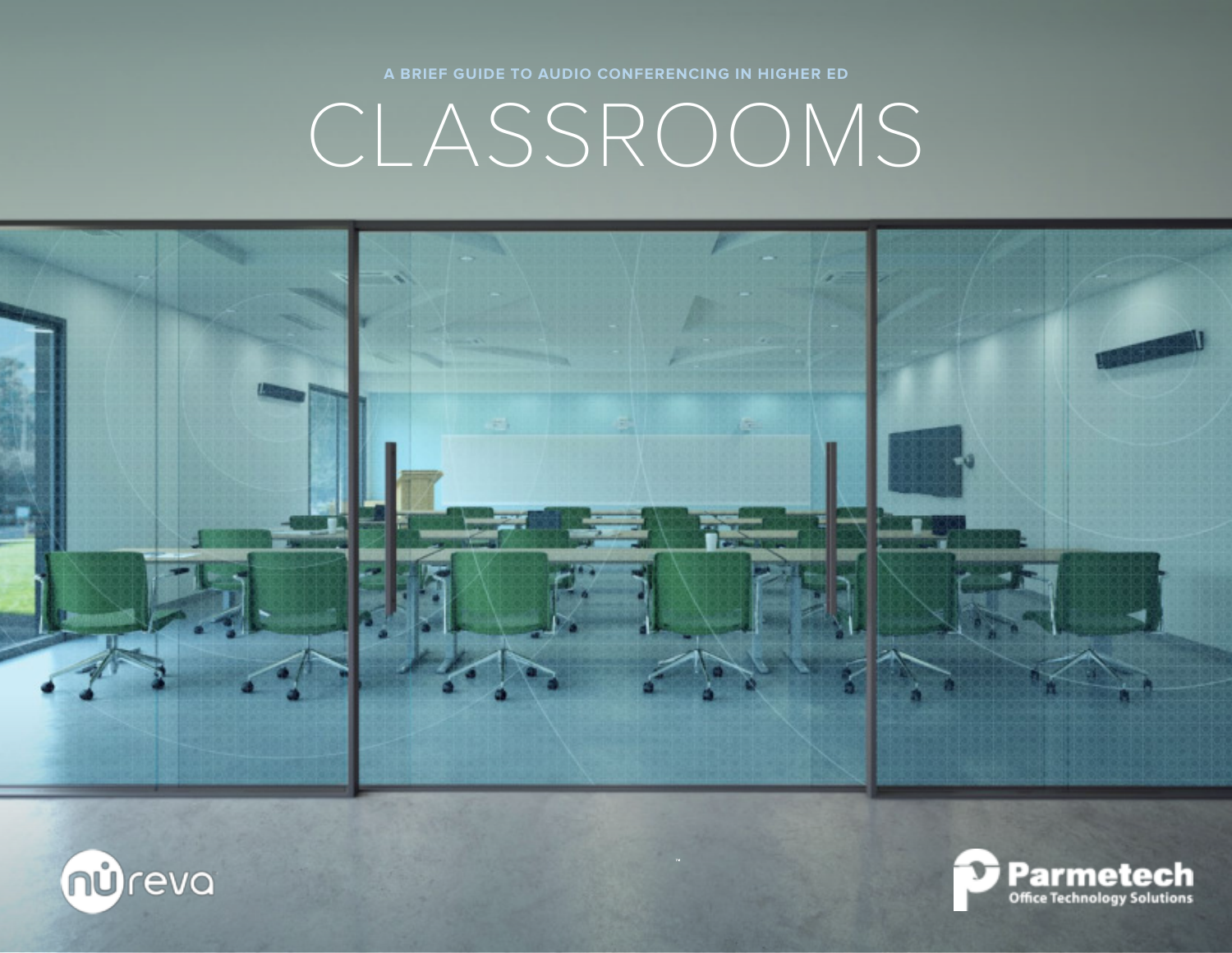





**A BRIEF GUIDE TO AUDIO CONFERENCING IN HIGHER ED**

CLASSROOMS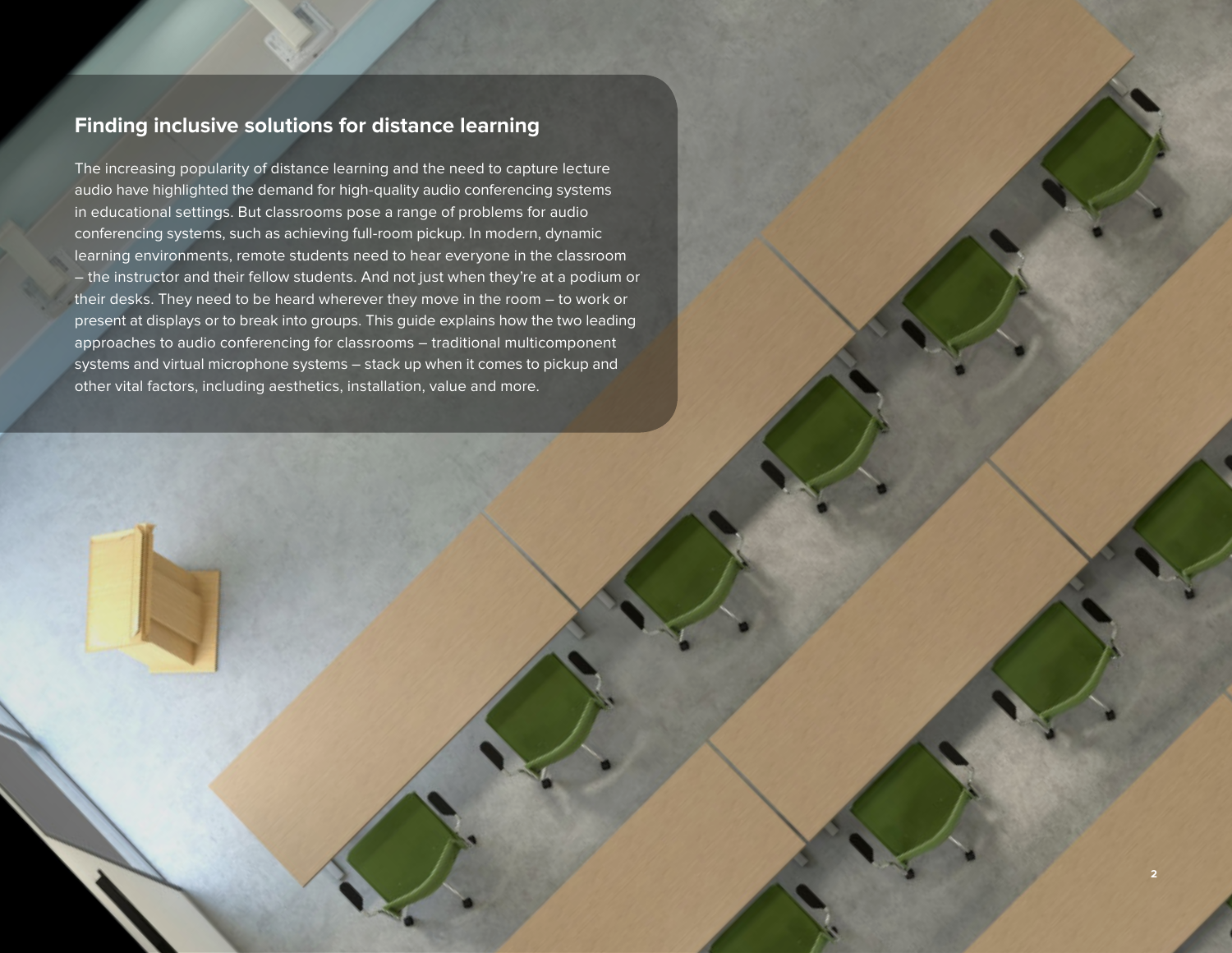### **Finding inclusive solutions for distance learning**

The increasing popularity of distance learning and the need to capture lecture audio have highlighted the demand for high-quality audio conferencing systems in educational settings. But classrooms pose a range of problems for audio conferencing systems, such as achieving full-room pickup. In modern, dynamic learning environments, remote students need to hear everyone in the classroom – the instructor and their fellow students. And not just when they're at a podium or their desks. They need to be heard wherever they move in the room – to work or present at displays or to break into groups. This guide explains how the two leading approaches to audio conferencing for classrooms – traditional multicomponent systems and virtual microphone systems – stack up when it comes to pickup and other vital factors, including aesthetics, installation, value and more.

**2**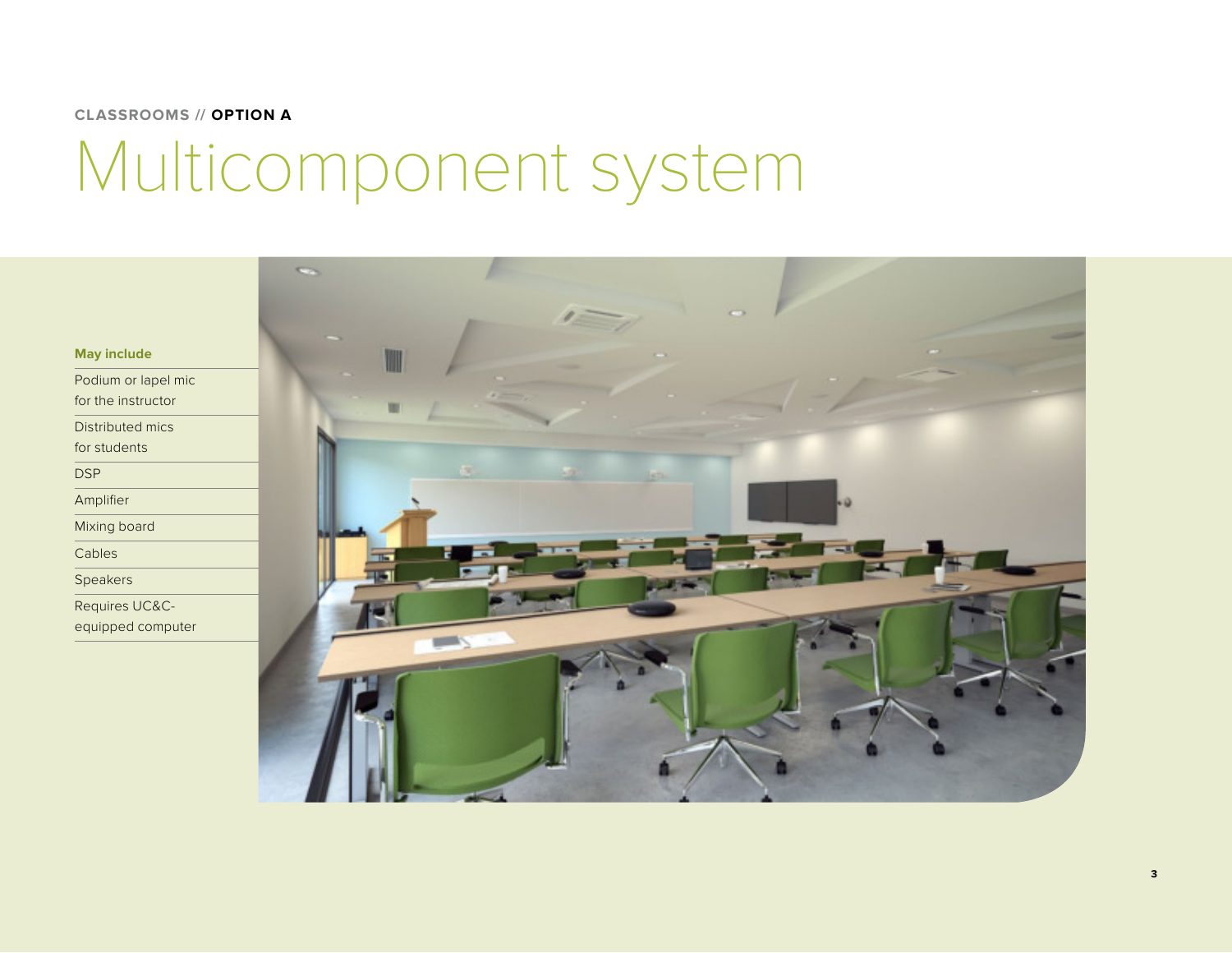### **CLASSROOMS // OPTION A**

## Multicomponent system

**May include**

Podium or lapel mic for the instructor

Distributed mics

for students

DSP

Amplifier

Mixing board

Cables

Speakers

Requires UC&C-

equipped computer

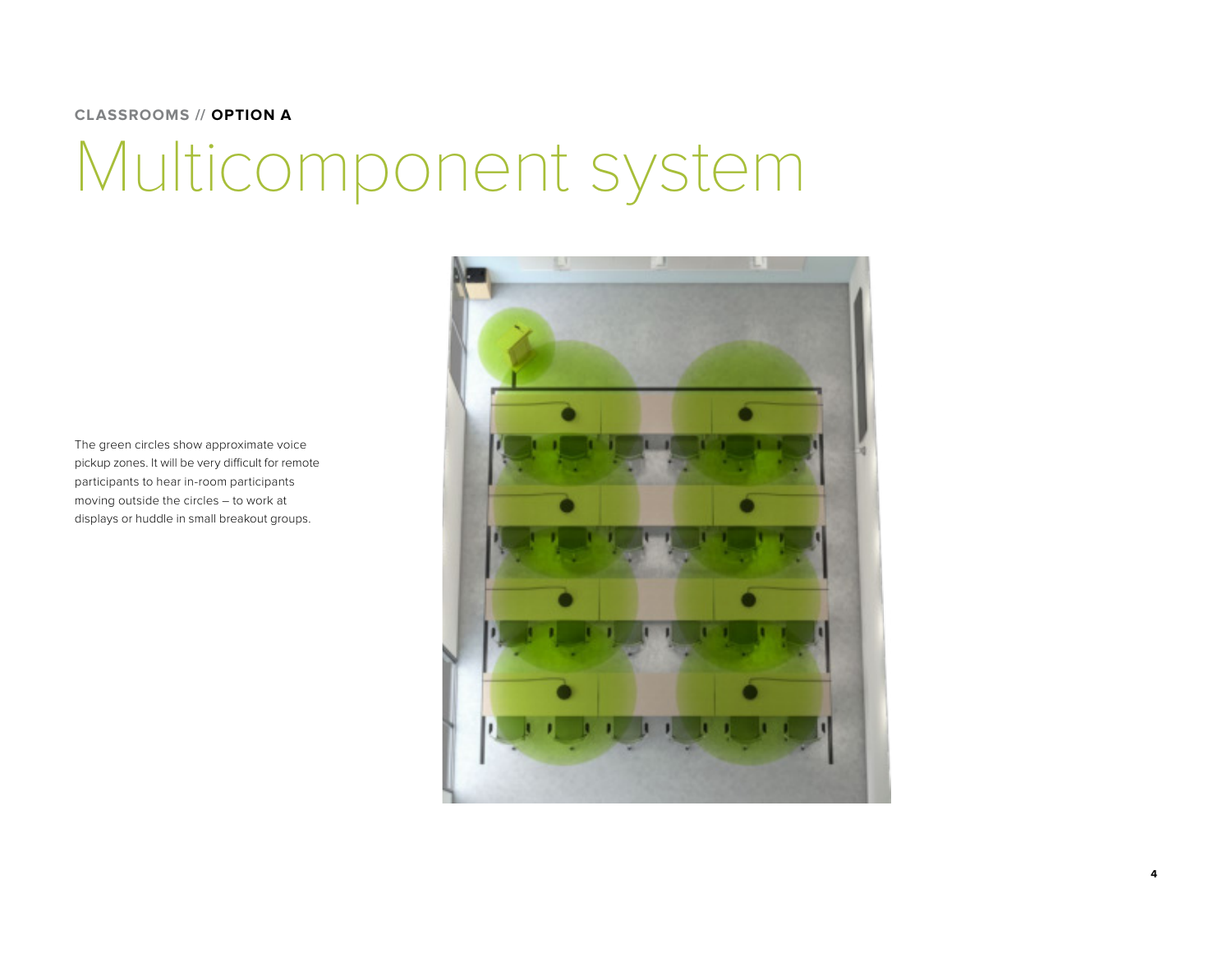#### **CLASSROOMS // OPTION A**

# Multicomponent system

The green circles show approximate voice pickup zones. It will be very difficult for remote participants to hear in-room participants moving outside the circles – to work at displays or huddle in small breakout groups.



**4**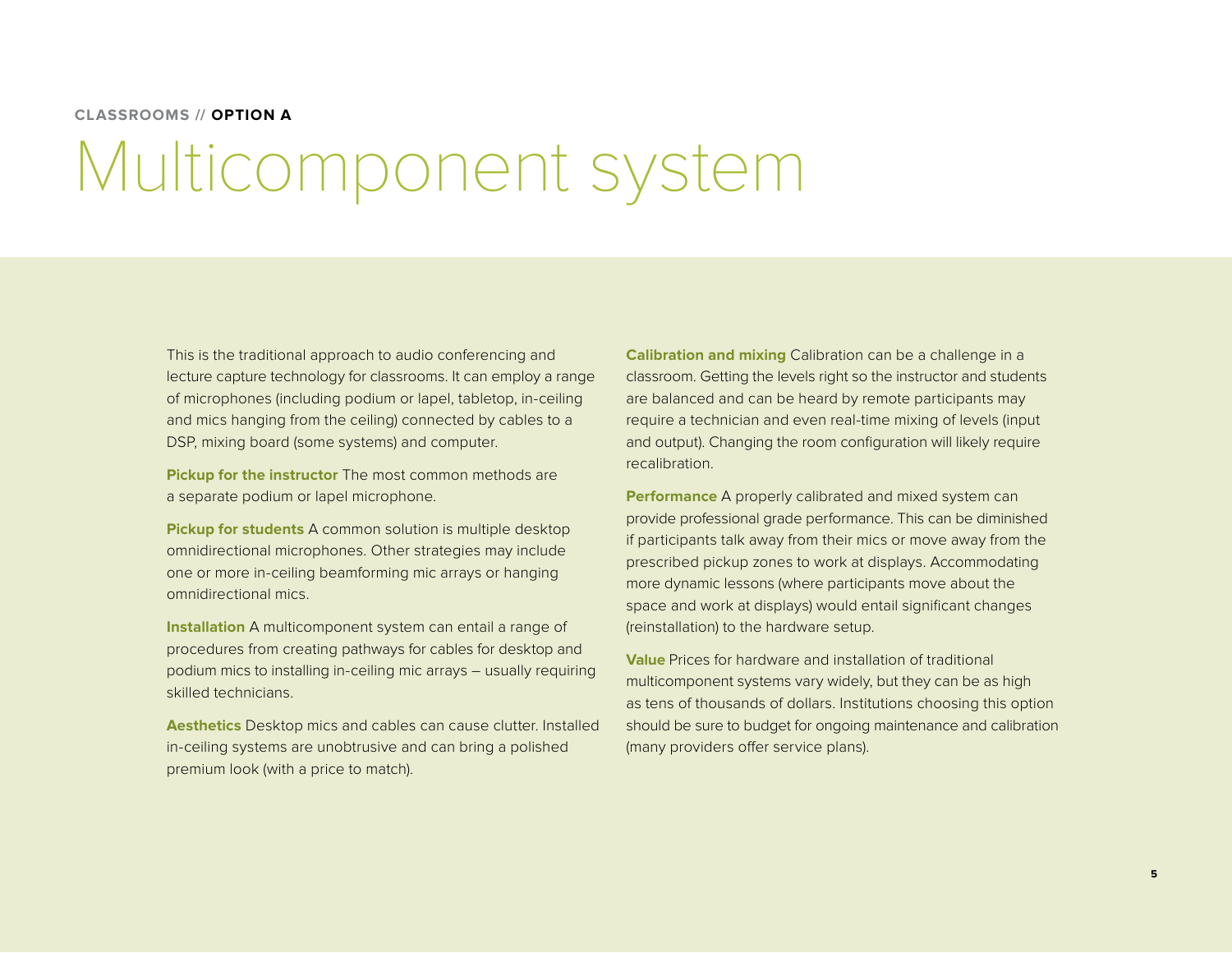#### **CLASSROOMS // OPTION A**

### Multicomponent system

This is the traditional approach to audio conferencing and lecture capture technology for classrooms. It can employ a range of microphones (including podium or lapel, tabletop, in-ceiling and mics hanging from the ceiling) connected by cables to a DSP, mixing board (some systems) and computer.

**Pickup for the instructor** The most common methods are a separate podium or lapel microphone.

**Pickup for students** A common solution is multiple desktop omnidirectional microphones. Other strategies may include one or more in-ceiling beamforming mic arrays or hanging omnidirectional mics.

**Installation** A multicomponent system can entail a range of procedures from creating pathways for cables for desktop and podium mics to installing in-ceiling mic arrays – usually requiring skilled technicians.

**Aesthetics** Desktop mics and cables can cause clutter. Installed in-ceiling systems are unobtrusive and can bring a polished premium look (with a price to match).

**Calibration and mixing** Calibration can be a challenge in a classroom. Getting the levels right so the instructor and students are balanced and can be heard by remote participants may require a technician and even real-time mixing of levels (input and output). Changing the room configuration will likely require recalibration.

**Performance** A properly calibrated and mixed system can provide professional grade performance. This can be diminished if participants talk away from their mics or move away from the prescribed pickup zones to work at displays. Accommodating more dynamic lessons (where participants move about the space and work at displays) would entail significant changes (reinstallation) to the hardware setup.

**Value** Prices for hardware and installation of traditional multicomponent systems vary widely, but they can be as high as tens of thousands of dollars. Institutions choosing this option should be sure to budget for ongoing maintenance and calibration (many providers offer service plans).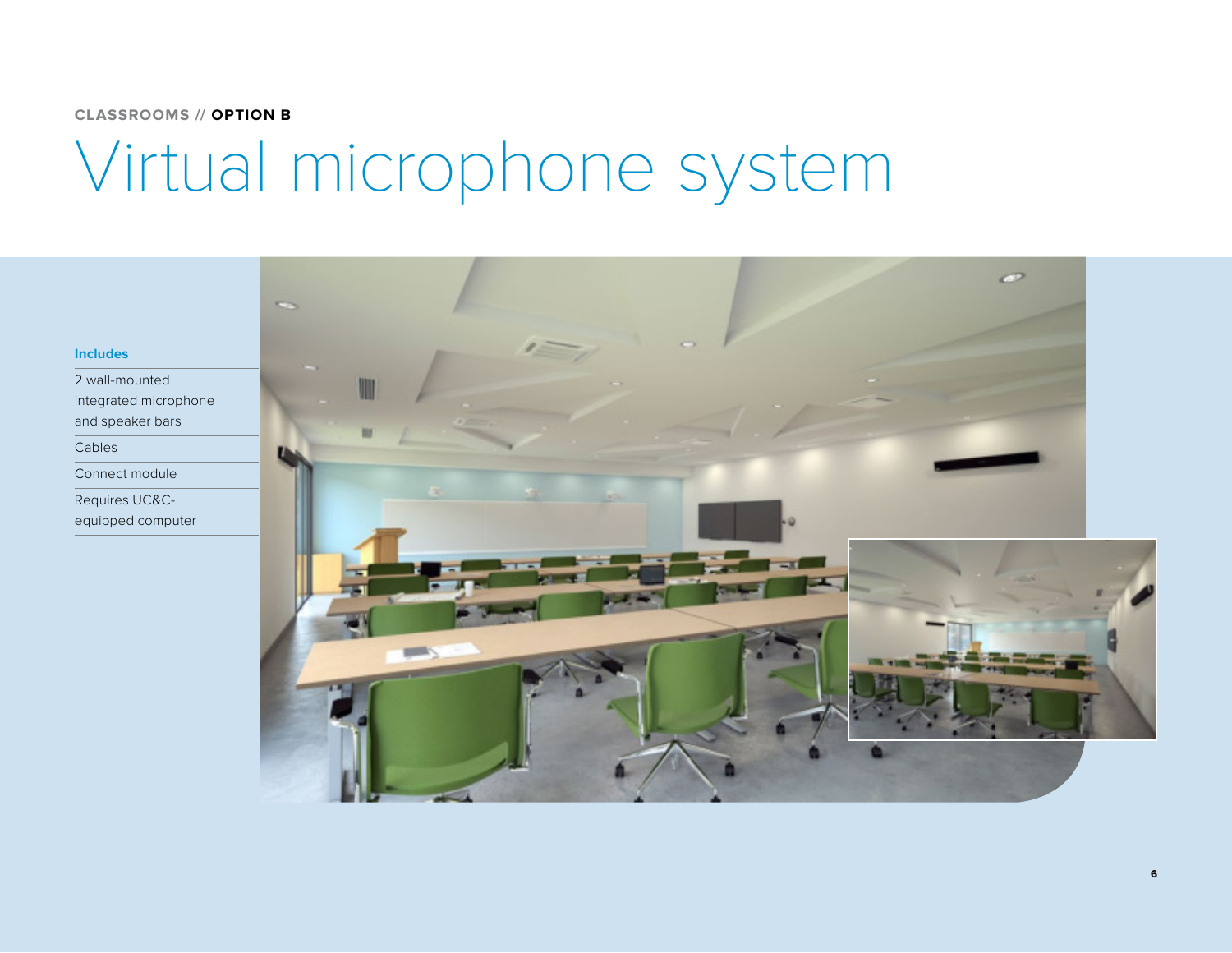#### **CLASSROOMS // OPTION B**

# Virtual microphone system

#### **Includes**

2 wall-mounted integrated microphone and speaker bars

Cables

Connect module

Requires UC&Cequipped computer

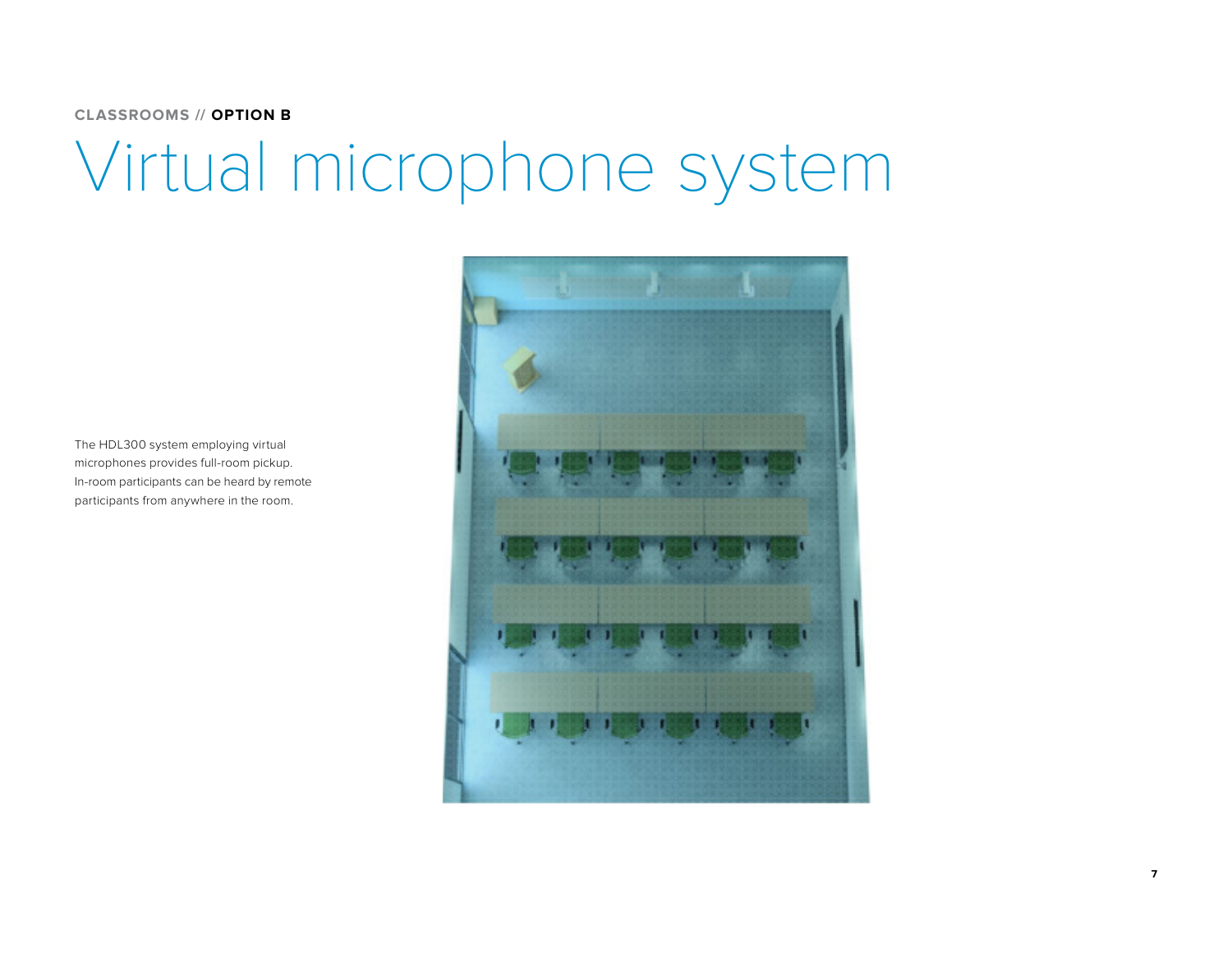#### **CLASSROOMS // OPTION B**

### Virtual microphone system

The HDL300 system employing virtual microphones provides full-room pickup. In-room participants can be heard by remote participants from anywhere in the room.

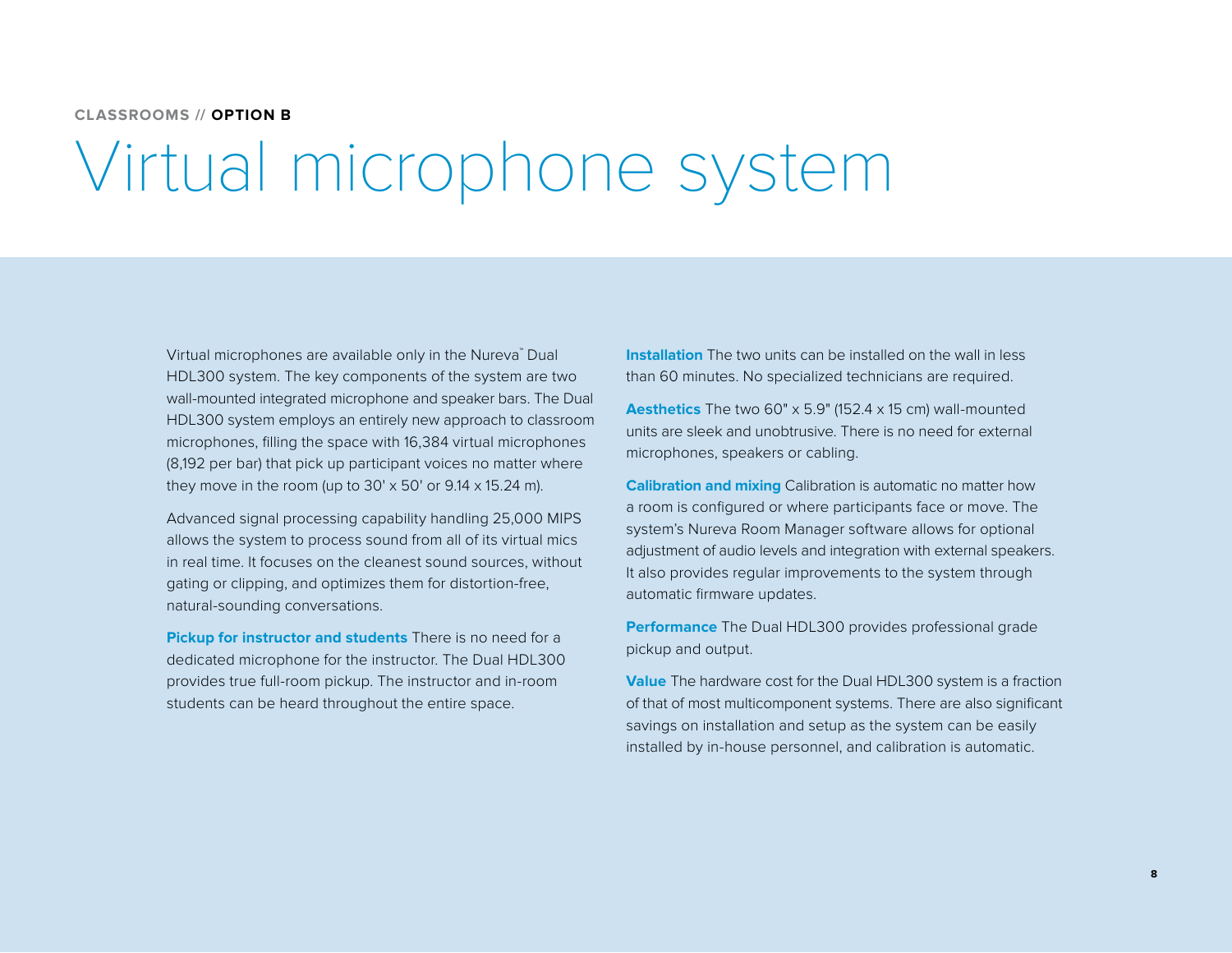#### **CLASSROOMS // OPTION B**

### Virtual microphone system

Virtual microphones are available only in the Nureva™ Dual HDL300 system. The key components of the system are two wall-mounted integrated microphone and speaker bars. The Dual HDL300 system employs an entirely new approach to classroom microphones, filling the space with 16,384 virtual microphones (8,192 per bar) that pick up participant voices no matter where they move in the room (up to  $30' \times 50'$  or  $9.14 \times 15.24$  m).

Advanced signal processing capability handling 25,000 MIPS allows the system to process sound from all of its virtual mics in real time. It focuses on the cleanest sound sources, without gating or clipping, and optimizes them for distortion-free, natural-sounding conversations.

**Pickup for instructor and students** There is no need for a dedicated microphone for the instructor. The Dual HDL300 provides true full-room pickup. The instructor and in-room students can be heard throughout the entire space.

**Installation** The two units can be installed on the wall in less than 60 minutes. No specialized technicians are required.

**Aesthetics** The two 60" x 5.9" (152.4 x 15 cm) wall-mounted units are sleek and unobtrusive. There is no need for external microphones, speakers or cabling.

**Calibration and mixing** Calibration is automatic no matter how a room is configured or where participants face or move. The system's Nureva Room Manager software allows for optional adjustment of audio levels and integration with external speakers. It also provides regular improvements to the system through automatic firmware updates.

**Performance** The Dual HDL300 provides professional grade pickup and output.

**Value** The hardware cost for the Dual HDL300 system is a fraction of that of most multicomponent systems. There are also significant savings on installation and setup as the system can be easily installed by in-house personnel, and calibration is automatic.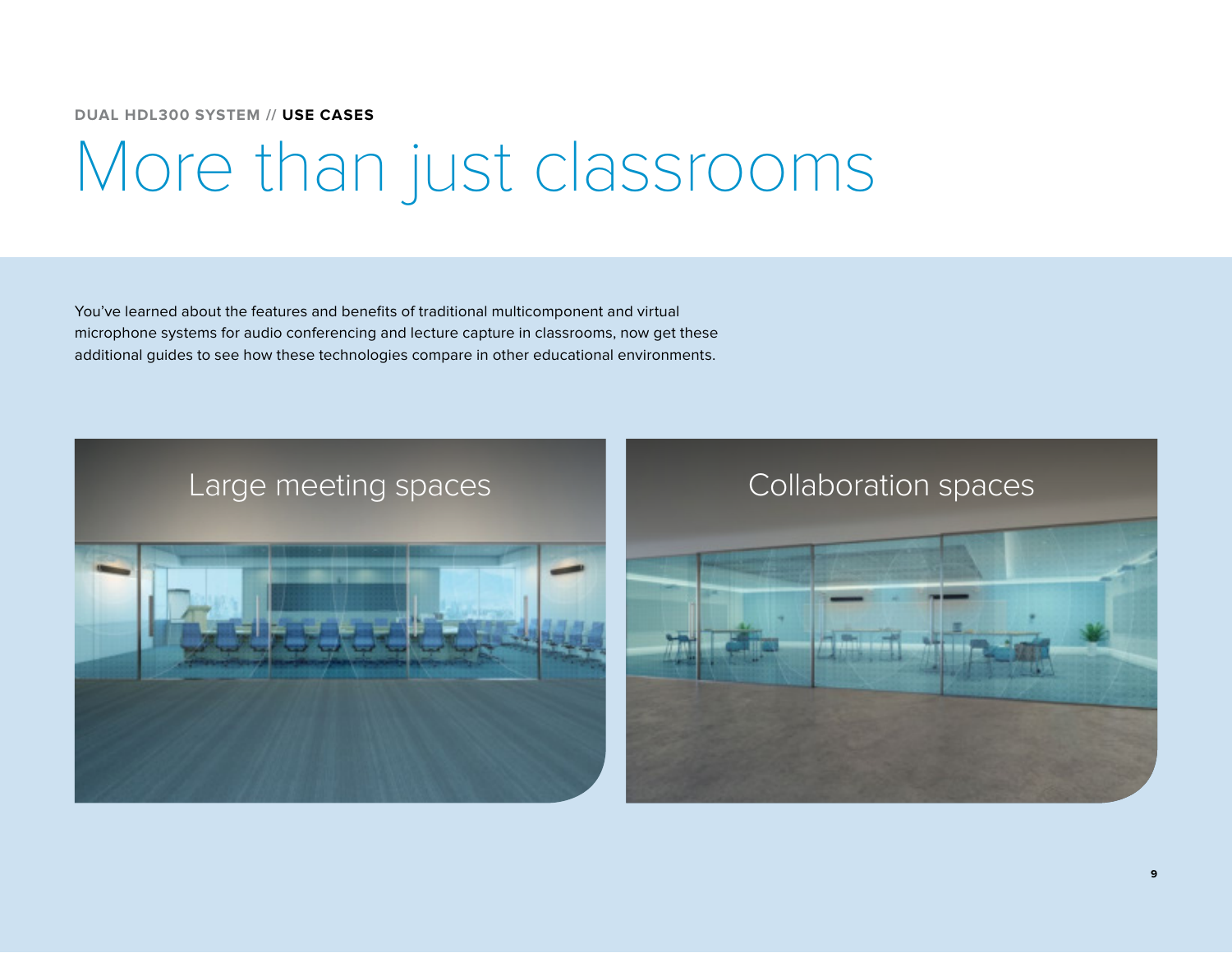**DUAL HDL300 SYSTEM // USE CASES**

### More than just classrooms

You've learned about the features and benefits of traditional multicomponent and virtual microphone systems for audio conferencing and lecture capture in classrooms, now get these additional guides to see how these technologies compare in other educational environments.